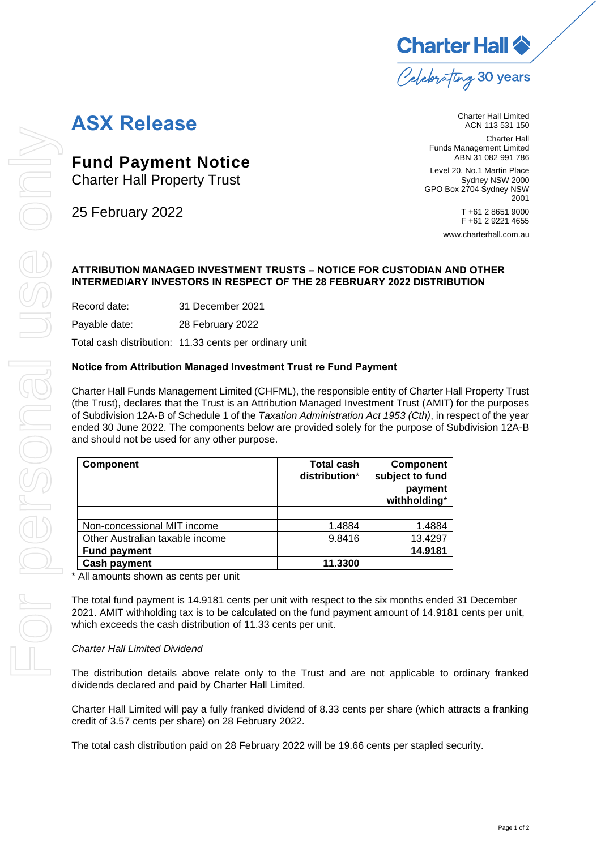**Charter Hall**  $\diamondsuit$ Celebrating 30 years

## **ASX Release**

**Fund Payment Notice**

Charter Hall Property Trust

Charter Hall Limited ACN 113 531 150 Charter Hall

Funds Management Limited ABN 31 082 991 786

Level 20, No.1 Martin Place Sydney NSW 2000 GPO Box 2704 Sydney NSW 2001

T +61 2 8651 9000 F +61 2 9221 4655

[www.charterhall.com.au](file://///chsyfs03/X%20Drive/People,%20Brand%20and%20Community/Marketing%20and%20Communications/Communication%20&%20Media/ASX%20Templates/www.charterhall.com.au)

## **ATTRIBUTION MANAGED INVESTMENT TRUSTS – NOTICE FOR CUSTODIAN AND OTHER INTERMEDIARY INVESTORS IN RESPECT OF THE 28 FEBRUARY 2022 DISTRIBUTION**

Record date: 31 December 2021

Payable date: 28 February 2022

Total cash distribution: 11.33 cents per ordinary unit

## **Notice from Attribution Managed Investment Trust re Fund Payment**

Charter Hall Funds Management Limited (CHFML), the responsible entity of Charter Hall Property Trust (the Trust), declares that the Trust is an Attribution Managed Investment Trust (AMIT) for the purposes of Subdivision 12A-B of Schedule 1 of the *Taxation Administration Act 1953 (Cth)*, in respect of the year ended 30 June 2022. The components below are provided solely for the purpose of Subdivision 12A-B and should not be used for any other purpose.

| <b>Component</b>                | <b>Total cash</b><br>distribution* | <b>Component</b><br>subject to fund<br>payment<br>withholding* |
|---------------------------------|------------------------------------|----------------------------------------------------------------|
|                                 |                                    |                                                                |
| Non-concessional MIT income     | 1.4884                             | 1.4884                                                         |
| Other Australian taxable income | 9.8416                             | 13.4297                                                        |
| <b>Fund payment</b>             |                                    | 14.9181                                                        |
| <b>Cash payment</b>             | 11.3300                            |                                                                |

\* All amounts shown as cents per unit

The total fund payment is 14.9181 cents per unit with respect to the six months ended 31 December 2021. AMIT withholding tax is to be calculated on the fund payment amount of 14.9181 cents per unit, which exceeds the cash distribution of 11.33 cents per unit.

## *Charter Hall Limited Dividend*

The distribution details above relate only to the Trust and are not applicable to ordinary franked dividends declared and paid by Charter Hall Limited.

Charter Hall Limited will pay a fully franked dividend of 8.33 cents per share (which attracts a franking credit of 3.57 cents per share) on 28 February 2022.

The total cash distribution paid on 28 February 2022 will be 19.66 cents per stapled security.